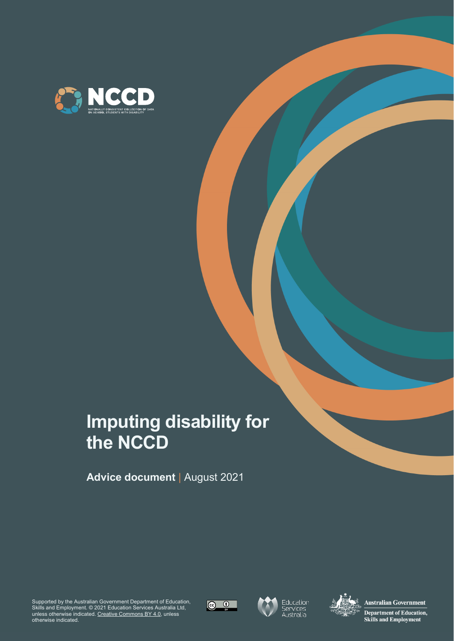

# **Imputing disability for the NCCD**

**Advice document** | August 2021

Supported by the Australian Government Department of Education, Skills and Employment. © 2021 Education Services Australia Ltd, unless otherwise indicated. [Creative Commons BY 4.0,](https://creativecommons.org/licenses/by/4.0/) unless otherwise indicated.







**Australian Government** Department of Education, **Skills and Employment**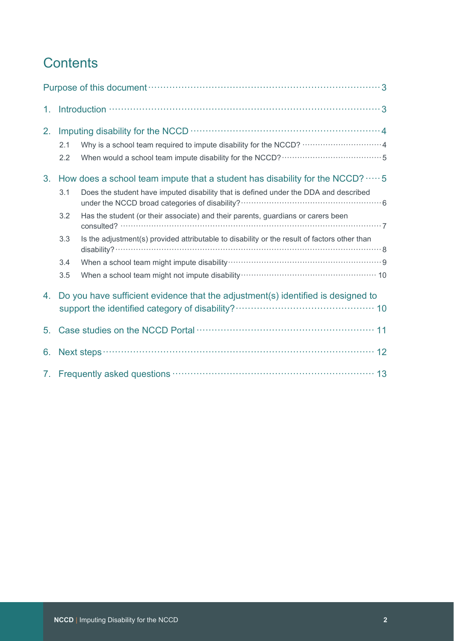## **Contents**

|                |                                 | Purpose of this document (1) and the contract of the document of the document of the set of this document of the set of the set of the set of the set of the set of the set of the set of the set of the set of the set of the                                                                                                                                   |
|----------------|---------------------------------|------------------------------------------------------------------------------------------------------------------------------------------------------------------------------------------------------------------------------------------------------------------------------------------------------------------------------------------------------------------|
| 1.             |                                 | Introduction $\cdots$ and $\cdots$ and $\cdots$ are $\cdots$ and $\cdots$ are $\cdots$ and $\cdots$ are $\cdots$ and $\cdots$ are $\cdots$ are $\cdots$ are $\cdots$ are $\cdots$ are $\cdots$ are $\cdots$ are $\cdots$ are $\cdots$ are $\cdots$ are $\cdots$ are $\cdots$ are $\cdots$ ar                                                                     |
| 2.             | 2.1<br>2.2                      | Why is a school team required to impute disability for the NCCD?  4                                                                                                                                                                                                                                                                                              |
| 3.             | 3.1<br>3.2<br>3.3<br>3.4<br>3.5 | How does a school team impute that a student has disability for the NCCD? $\cdots$ 5<br>Does the student have imputed disability that is defined under the DDA and described<br>Has the student (or their associate) and their parents, guardians or carers been<br>Is the adjustment(s) provided attributable to disability or the result of factors other than |
| 4.             |                                 | Do you have sufficient evidence that the adjustment(s) identified is designed to                                                                                                                                                                                                                                                                                 |
| 5 <sub>1</sub> |                                 | Case studies on the NCCD Portal manufactured and the NCCD Portal manufactured and the MCCD Portal manufactured and the STA and 11                                                                                                                                                                                                                                |
| 6.             |                                 |                                                                                                                                                                                                                                                                                                                                                                  |
|                |                                 | 7. Frequently asked questions manufactured and the state and the 13                                                                                                                                                                                                                                                                                              |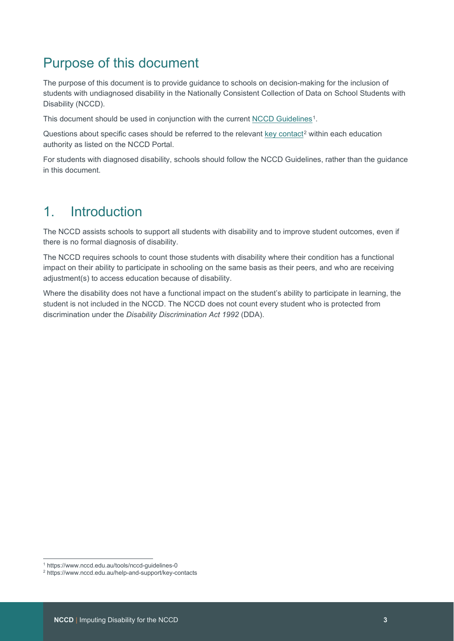## <span id="page-2-0"></span>Purpose of this document

The purpose of this document is to provide guidance to schools on decision-making for the inclusion of students with undiagnosed disability in the Nationally Consistent Collection of Data on School Students with Disability (NCCD).

This document should be used in conjunction with the current [NCCD Guidelines](https://www.nccd.edu.au/tools/nccd-guidelines-0)<sup>1</sup>.

Questions about specific cases should be referred to the relevant [key contact](https://www.nccd.edu.au/help-and-support/key-contacts)<sup>[2](#page-2-3)</sup> within each education authority as listed on the NCCD Portal.

For students with diagnosed disability, schools should follow the NCCD Guidelines, rather than the guidance in this document.

## <span id="page-2-1"></span>1. Introduction

The NCCD assists schools to support all students with disability and to improve student outcomes, even if there is no formal diagnosis of disability.

The NCCD requires schools to count those students with disability where their condition has a functional impact on their ability to participate in schooling on the same basis as their peers, and who are receiving adjustment(s) to access education because of disability.

Where the disability does not have a functional impact on the student's ability to participate in learning, the student is not included in the NCCD. The NCCD does not count every student who is protected from discrimination under the *Disability Discrimination Act 1992* (DDA).

<sup>1</sup> https://www.nccd.edu.au/tools/nccd-guidelines-0

<span id="page-2-3"></span><span id="page-2-2"></span><sup>2</sup> https://www.nccd.edu.au/help-and-support/key-contacts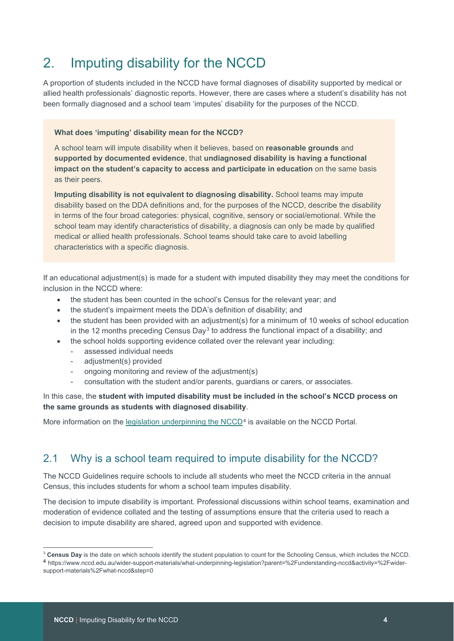## <span id="page-3-0"></span>2. Imputing disability for the NCCD

A proportion of students included in the NCCD have formal diagnoses of disability supported by medical or allied health professionals' diagnostic reports. However, there are cases where a student's disability has not been formally diagnosed and a school team 'imputes' disability for the purposes of the NCCD.

#### **What does 'imputing' disability mean for the NCCD?**

A school team will impute disability when it believes, based on **reasonable grounds** and **supported by documented evidence**, that **undiagnosed disability is having a functional impact on the student's capacity to access and participate in education** on the same basis as their peers.

**Imputing disability is not equivalent to diagnosing disability.** School teams may impute disability based on the DDA definitions and, for the purposes of the NCCD, describe the disability in terms of the four broad categories: physical, cognitive, sensory or social/emotional. While the school team may identify characteristics of disability, a diagnosis can only be made by qualified medical or allied health professionals. School teams should take care to avoid labelling characteristics with a specific diagnosis.

If an educational adjustment(s) is made for a student with imputed disability they may meet the conditions for inclusion in the NCCD where:

- the student has been counted in the school's Census for the relevant year; and
- the student's impairment meets the DDA's definition of disability; and
- the student has been provided with an adjustment(s) for a minimum of 10 weeks of school education in the 12 months preceding Census Day<sup>[3](#page-3-2)</sup> to address the functional impact of a disability; and
- the school holds supporting evidence collated over the relevant year including:
	- assessed individual needs
	- adjustment(s) provided
	- ongoing monitoring and review of the adjustment(s)
	- consultation with the student and/or parents, guardians or carers, or associates.

In this case, the **student with imputed disability must be included in the school's NCCD process on the same grounds as students with diagnosed disability**.

<span id="page-3-1"></span>More information on the legislation underpinning the  $NCCD<sup>4</sup>$  $NCCD<sup>4</sup>$  $NCCD<sup>4</sup>$  is available on the NCCD Portal.

### 2.1 Why is a school team required to impute disability for the NCCD?

The NCCD Guidelines require schools to include all students who meet the NCCD criteria in the annual Census, this includes students for whom a school team imputes disability.

The decision to impute disability is important. Professional discussions within school teams, examination and moderation of evidence collated and the testing of assumptions ensure that the criteria used to reach a decision to impute disability are shared, agreed upon and supported with evidence.

<span id="page-3-3"></span><span id="page-3-2"></span><sup>&</sup>lt;sup>3</sup> Census Day is the date on which schools identify the student population to count for the Schooling Census, which includes the NCCD. <sup>4</sup> https://www.nccd.edu.au/wider-support-materials/what-underpinning-legislation?parent=%2Funderstanding-nccd&activity=%2Fwidersupport-materials%2Fwhat-nccd&step=0

**NCCD** | Imputing Disability for the NCCD **4**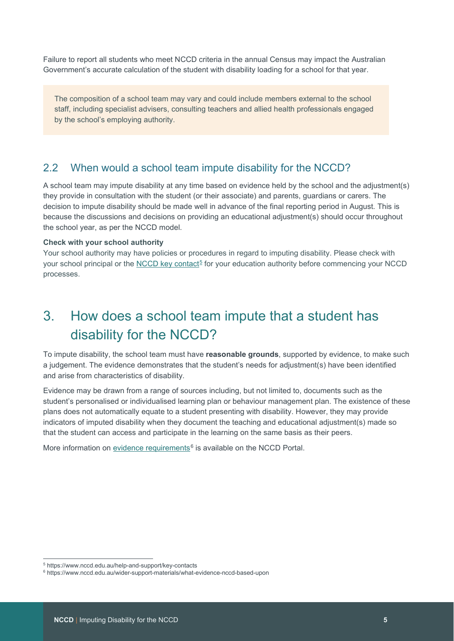Failure to report all students who meet NCCD criteria in the annual Census may impact the Australian Government's accurate calculation of the student with disability loading for a school for that year.

The composition of a school team may vary and could include members external to the school staff, including specialist advisers, consulting teachers and allied health professionals engaged by the school's employing authority.

### <span id="page-4-0"></span>2.2 When would a school team impute disability for the NCCD?

A school team may impute disability at any time based on evidence held by the school and the adjustment(s) they provide in consultation with the student (or their associate) and parents, guardians or carers. The decision to impute disability should be made well in advance of the final reporting period in August. This is because the discussions and decisions on providing an educational adjustment(s) should occur throughout the school year, as per the NCCD model.

#### **Check with your school authority**

Your school authority may have policies or procedures in regard to imputing disability. Please check with your school principal or the [NCCD key contact](https://www.nccd.edu.au/help-and-support/key-contacts)<sup>[5](#page-4-2)</sup> for your education authority before commencing your NCCD processes.

## <span id="page-4-1"></span>3. How does a school team impute that a student has disability for the NCCD?

To impute disability, the school team must have **reasonable grounds**, supported by evidence, to make such a judgement. The evidence demonstrates that the student's needs for adjustment(s) have been identified and arise from characteristics of disability.

Evidence may be drawn from a range of sources including, but not limited to, documents such as the student's personalised or individualised learning plan or behaviour management plan. The existence of these plans does not automatically equate to a student presenting with disability. However, they may provide indicators of imputed disability when they document the teaching and educational adjustment(s) made so that the student can access and participate in the learning on the same basis as their peers.

More information on [evidence requirements](https://www.nccd.edu.au/wider-support-materials/what-evidence-nccd-based-upon) $6$  is available on the NCCD Portal.

<span id="page-4-2"></span><sup>5</sup> https://www.nccd.edu.au/help-and-support/key-contacts

<span id="page-4-3"></span><sup>6</sup> https://www.nccd.edu.au/wider-support-materials/what-evidence-nccd-based-upon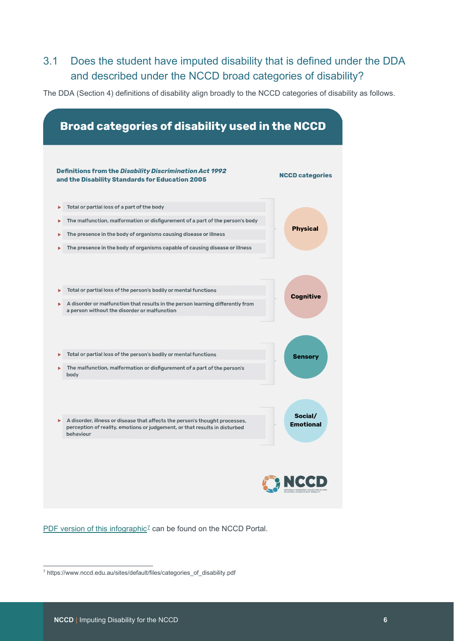### <span id="page-5-0"></span>3.1 Does the student have imputed disability that is defined under the DDA and described under the NCCD broad categories of disability?

The DDA (Section 4) definitions of disability align broadly to the NCCD categories of disability as follows.

|   | Definitions from the Disability Discrimination Act 1992<br>and the Disability Standards for Education 2005                                                             | <b>NCCD categories</b> |
|---|------------------------------------------------------------------------------------------------------------------------------------------------------------------------|------------------------|
|   | Total or partial loss of a part of the body                                                                                                                            |                        |
|   | The malfunction, malformation or disfigurement of a part of the person's body                                                                                          |                        |
|   | The presence in the body of organisms causing disease or illness                                                                                                       | <b>Physical</b>        |
|   | The presence in the body of organisms capable of causing disease or illness                                                                                            |                        |
|   |                                                                                                                                                                        |                        |
|   | Total or partial loss of the person's bodily or mental functions                                                                                                       | <b>Sensory</b>         |
|   | The malfunction, malformation or disfigurement of a part of the person's<br>body                                                                                       |                        |
|   |                                                                                                                                                                        | Social/                |
| ь | A disorder, illness or disease that affects the person's thought processes,<br>perception of reality, emotions or judgement, or that results in disturbed<br>hehaviour | <b>Emotional</b>       |

[PDF version of this infographic](https://www.nccd.edu.au/sites/default/files/categories_of_disability.pdf)<sup>[7](#page-5-1)</sup> can be found on the NCCD Portal.

<span id="page-5-1"></span><sup>7</sup> https://www.nccd.edu.au/sites/default/files/categories\_of\_disability.pdf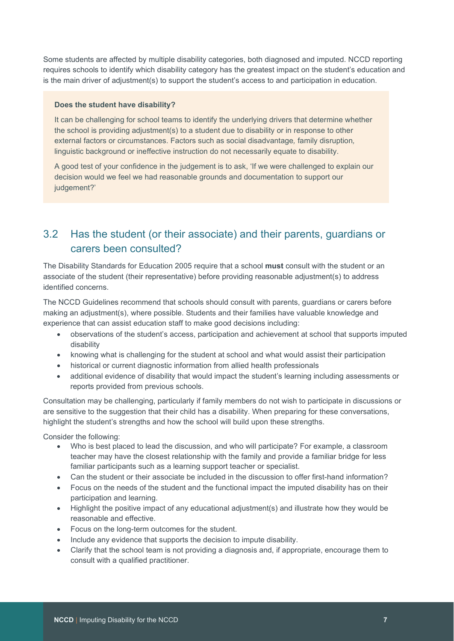Some students are affected by multiple disability categories, both diagnosed and imputed. NCCD reporting requires schools to identify which disability category has the greatest impact on the student's education and is the main driver of adjustment(s) to support the student's access to and participation in education.

#### **Does the student have disability?**

It can be challenging for school teams to identify the underlying drivers that determine whether the school is providing adjustment(s) to a student due to disability or in response to other external factors or circumstances. Factors such as social disadvantage*,* family disruption*,*  linguistic background or ineffective instruction do not necessarily equate to disability.

A good test of your confidence in the judgement is to ask, 'If we were challenged to explain our decision would we feel we had reasonable grounds and documentation to support our judgement?'

### <span id="page-6-0"></span>3.2 Has the student (or their associate) and their parents, guardians or carers been consulted?

The Disability Standards for Education 2005 require that a school **must** consult with the student or an associate of the student (their representative) before providing reasonable adjustment(s) to address identified concerns.

The NCCD Guidelines recommend that schools should consult with parents, guardians or carers before making an adjustment(s), where possible. Students and their families have valuable knowledge and experience that can assist education staff to make good decisions including:

- observations of the student's access, participation and achievement at school that supports imputed disability
- knowing what is challenging for the student at school and what would assist their participation
- historical or current diagnostic information from allied health professionals
- additional evidence of disability that would impact the student's learning including assessments or reports provided from previous schools.

Consultation may be challenging, particularly if family members do not wish to participate in discussions or are sensitive to the suggestion that their child has a disability. When preparing for these conversations, highlight the student's strengths and how the school will build upon these strengths.

Consider the following:

- Who is best placed to lead the discussion, and who will participate? For example, a classroom teacher may have the closest relationship with the family and provide a familiar bridge for less familiar participants such as a learning support teacher or specialist.
- Can the student or their associate be included in the discussion to offer first-hand information?
- Focus on the needs of the student and the functional impact the imputed disability has on their participation and learning.
- Highlight the positive impact of any educational adjustment(s) and illustrate how they would be reasonable and effective.
- Focus on the long-term outcomes for the student.
- Include any evidence that supports the decision to impute disability.
- Clarify that the school team is not providing a diagnosis and, if appropriate, encourage them to consult with a qualified practitioner.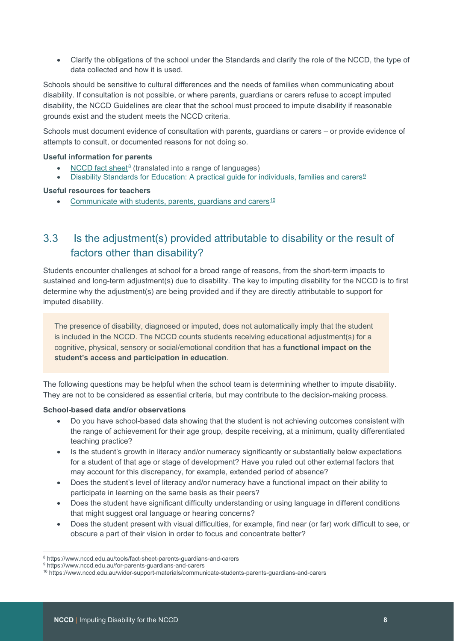• Clarify the obligations of the school under the Standards and clarify the role of the NCCD, the type of data collected and how it is used.

Schools should be sensitive to cultural differences and the needs of families when communicating about disability. If consultation is not possible, or where parents, guardians or carers refuse to accept imputed disability, the NCCD Guidelines are clear that the school must proceed to impute disability if reasonable grounds exist and the student meets the NCCD criteria.

Schools must document evidence of consultation with parents, guardians or carers – or provide evidence of attempts to consult, or documented reasons for not doing so.

#### **Useful information for parents**

- [NCCD fact sheet](https://www.nccd.edu.au/tools/fact-sheet-parents-guardians-and-carers)<sup>[8](#page-7-1)</sup> (translated into a range of languages)
- [Disability Standards for Education: A practical guide for individuals, families and carers](https://www.nccd.edu.au/for-parents-guardians-and-carers)<sup>[9](#page-7-2)</sup>

### **Useful resources for teachers**

<span id="page-7-0"></span>• [Communicate with students, parents, guardians and carers](https://www.nccd.edu.au/wider-support-materials/communicate-students-parents-guardians-and-carers) $10$ 

### 3.3 Is the adjustment(s) provided attributable to disability or the result of factors other than disability?

Students encounter challenges at school for a broad range of reasons, from the short-term impacts to sustained and long-term adjustment(s) due to disability. The key to imputing disability for the NCCD is to first determine why the adjustment(s) are being provided and if they are directly attributable to support for imputed disability.

The presence of disability, diagnosed or imputed, does not automatically imply that the student is included in the NCCD. The NCCD counts students receiving educational adjustment(s) for a cognitive, physical, sensory or social/emotional condition that has a **functional impact on the student's access and participation in education**.

The following questions may be helpful when the school team is determining whether to impute disability. They are not to be considered as essential criteria, but may contribute to the decision-making process.

### **School-based data and/or observations**

- Do you have school-based data showing that the student is not achieving outcomes consistent with the range of achievement for their age group, despite receiving, at a minimum, quality differentiated teaching practice?
- Is the student's growth in literacy and/or numeracy significantly or substantially below expectations for a student of that age or stage of development? Have you ruled out other external factors that may account for this discrepancy, for example, extended period of absence?
- Does the student's level of literacy and/or numeracy have a functional impact on their ability to participate in learning on the same basis as their peers?
- Does the student have significant difficulty understanding or using language in different conditions that might suggest oral language or hearing concerns?
- Does the student present with visual difficulties, for example, find near (or far) work difficult to see, or obscure a part of their vision in order to focus and concentrate better?

<span id="page-7-1"></span><sup>8</sup> https://www.nccd.edu.au/tools/fact-sheet-parents-guardians-and-carers

<span id="page-7-3"></span><span id="page-7-2"></span><sup>9</sup> https://www.nccd.edu.au/for-parents-guardians-and-carers

<sup>10</sup> https://www.nccd.edu.au/wider-support-materials/communicate-students-parents-guardians-and-carers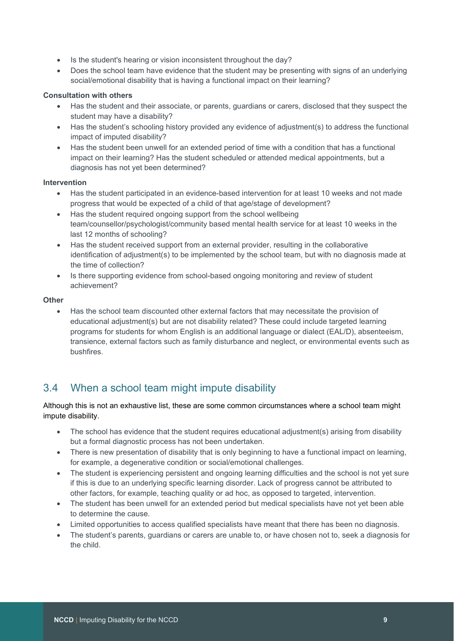- Is the student's hearing or vision inconsistent throughout the day?
- Does the school team have evidence that the student may be presenting with signs of an underlying social/emotional disability that is having a functional impact on their learning?

### **Consultation with others**

- Has the student and their associate, or parents, guardians or carers, disclosed that they suspect the student may have a disability?
- Has the student's schooling history provided any evidence of adjustment(s) to address the functional impact of imputed disability?
- Has the student been unwell for an extended period of time with a condition that has a functional impact on their learning? Has the student scheduled or attended medical appointments, but a diagnosis has not yet been determined?

#### **Intervention**

- Has the student participated in an evidence-based intervention for at least 10 weeks and not made progress that would be expected of a child of that age/stage of development?
- Has the student required ongoing support from the school wellbeing team/counsellor/psychologist/community based mental health service for at least 10 weeks in the last 12 months of schooling?
- Has the student received support from an external provider, resulting in the collaborative identification of adjustment(s) to be implemented by the school team, but with no diagnosis made at the time of collection?
- Is there supporting evidence from school-based ongoing monitoring and review of student achievement?

#### **Other**

• Has the school team discounted other external factors that may necessitate the provision of educational adjustment(s) but are not disability related? These could include targeted learning programs for students for whom English is an additional language or dialect (EAL/D), absenteeism, transience, external factors such as family disturbance and neglect, or environmental events such as bushfires.

### <span id="page-8-0"></span>3.4 When a school team might impute disability

Although this is not an exhaustive list, these are some common circumstances where a school team might impute disability.

- The school has evidence that the student requires educational adjustment(s) arising from disability but a formal diagnostic process has not been undertaken.
- There is new presentation of disability that is only beginning to have a functional impact on learning, for example, a degenerative condition or social/emotional challenges.
- The student is experiencing persistent and ongoing learning difficulties and the school is not yet sure if this is due to an underlying specific learning disorder. Lack of progress cannot be attributed to other factors, for example, teaching quality or ad hoc, as opposed to targeted, intervention.
- The student has been unwell for an extended period but medical specialists have not yet been able to determine the cause.
- Limited opportunities to access qualified specialists have meant that there has been no diagnosis.
- The student's parents, guardians or carers are unable to, or have chosen not to, seek a diagnosis for the child.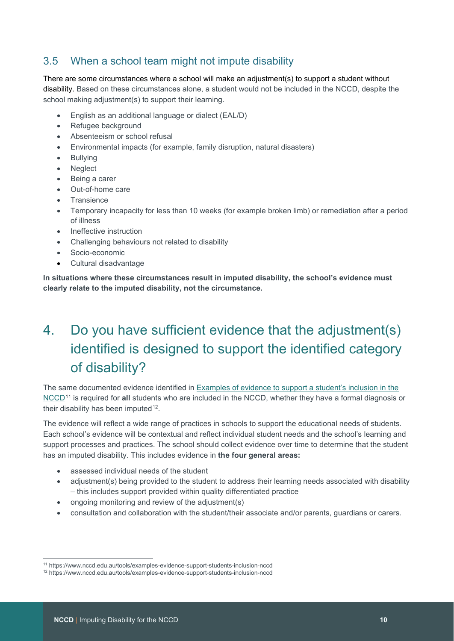### <span id="page-9-0"></span>3.5 When a school team might not impute disability

There are some circumstances where a school will make an adjustment(s) to support a student without disability. Based on these circumstances alone, a student would not be included in the NCCD, despite the school making adjustment(s) to support their learning.

- English as an additional language or dialect (EAL/D)
- Refugee background
- Absenteeism or school refusal
- Environmental impacts (for example, family disruption, natural disasters)
- **Bullying**
- Neglect
- Being a carer
- Out-of-home care
- **Transience**
- Temporary incapacity for less than 10 weeks (for example broken limb) or remediation after a period of illness
- Ineffective instruction
- Challenging behaviours not related to disability
- Socio-economic
- Cultural disadvantage

**In situations where these circumstances result in imputed disability, the school's evidence must clearly relate to the imputed disability, not the circumstance.** 

## <span id="page-9-1"></span>4. Do you have sufficient evidence that the adjustment(s) identified is designed to support the identified category of disability?

The same documented evidence identified in **Examples of evidence to support a student's inclusion in the** [NCCD](https://www.nccd.edu.au/tools/examples-evidence-support-students-inclusion-nccd)<sup>[11](#page-9-2)</sup> is required for **all** students who are included in the NCCD, whether they have a formal diagnosis or their disability has been imputed<sup>[12](#page-9-3)</sup>.

The evidence will reflect a wide range of practices in schools to support the educational needs of students. Each school's evidence will be contextual and reflect individual student needs and the school's learning and support processes and practices. The school should collect evidence over time to determine that the student has an imputed disability. This includes evidence in **the four general areas:**

- assessed individual needs of the student
- adjustment(s) being provided to the student to address their learning needs associated with disability – this includes support provided within quality differentiated practice
- ongoing monitoring and review of the adjustment(s)
- consultation and collaboration with the student/their associate and/or parents, guardians or carers.

<span id="page-9-2"></span><sup>11</sup> https://www.nccd.edu.au/tools/examples-evidence-support-students-inclusion-nccd

<span id="page-9-3"></span><sup>12</sup> https://www.nccd.edu.au/tools/examples-evidence-support-students-inclusion-nccd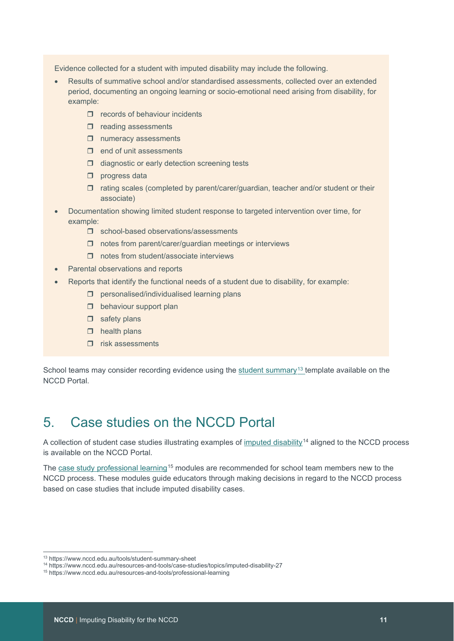Evidence collected for a student with imputed disability may include the following.

- Results of summative school and/or standardised assessments, collected over an extended period, documenting an ongoing learning or socio-emotional need arising from disability, for example:
	- $\Box$  records of behaviour incidents
	- $\Box$  reading assessments
	- $\square$  numeracy assessments
	- $\Box$  end of unit assessments
	- $\Box$  diagnostic or early detection screening tests
	- $\square$  progress data
	- $\Box$  rating scales (completed by parent/carer/guardian, teacher and/or student or their associate)
- Documentation showing limited student response to targeted intervention over time, for example:
	- **d** school-based observations/assessments
	- $\Box$  notes from parent/carer/guardian meetings or interviews
	- $\Box$  notes from student/associate interviews
- Parental observations and reports
- Reports that identify the functional needs of a student due to disability, for example:
	- $\square$  personalised/individualised learning plans
	- $\Box$  behaviour support plan
	- $\Box$  safety plans
	- $\Box$  health plans
	- $\Box$  risk assessments

<span id="page-10-0"></span>School teams may consider recording evidence using the student summary<sup>13</sup> template available on the NCCD Portal.

### 5. Case studies on the NCCD Portal

A collection of student case studies illustrating examples of [imputed disability](https://www.nccd.edu.au/resources-and-tools/case-studies/topics/imputed-disability-27)[14](#page-10-2) aligned to the NCCD process is available on the NCCD Portal.

The [case study professional learning](https://www.nccd.edu.au/resources-and-tools/professional-learning)<sup>[15](#page-10-3)</sup> modules are recommended for school team members new to the NCCD process. These modules guide educators through making decisions in regard to the NCCD process based on case studies that include imputed disability cases.

<span id="page-10-1"></span><sup>13</sup> https://www.nccd.edu.au/tools/student-summary-sheet

<span id="page-10-2"></span><sup>14</sup> https://www.nccd.edu.au/resources-and-tools/case-studies/topics/imputed-disability-27

<span id="page-10-3"></span><sup>15</sup> https://www.nccd.edu.au/resources-and-tools/professional-learning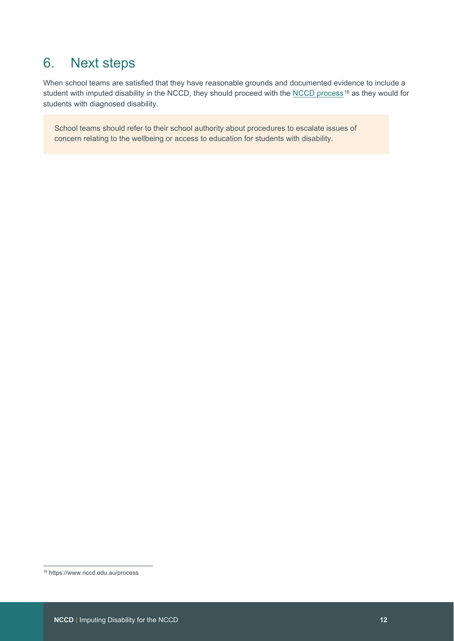## <span id="page-11-0"></span>6. Next steps

When school teams are satisfied that they have reasonable grounds and documented evidence to include a student with imputed disability in the NCCD, they should proceed with the [NCCD process](https://www.nccd.edu.au/process)<sup>[16](#page-11-1)</sup> as they would for students with diagnosed disability.

School teams should refer to their school authority about procedures to escalate issues of concern relating to the wellbeing or access to education for students with disability.

<span id="page-11-1"></span><sup>16</sup> https://www.nccd.edu.au/process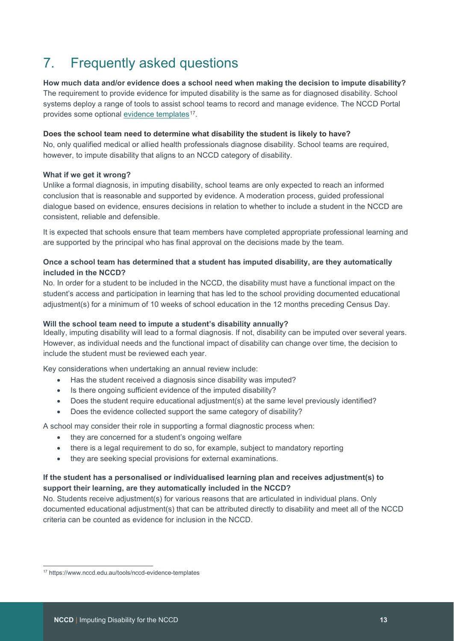## <span id="page-12-0"></span>7. Frequently asked questions

**How much data and/or evidence does a school need when making the decision to impute disability?** The requirement to provide evidence for imputed disability is the same as for diagnosed disability. School systems deploy a range of tools to assist school teams to record and manage evidence. The NCCD Portal provides some optional [evidence templates](https://www.nccd.edu.au/tools/nccd-evidence-templates)<sup>[17](#page-12-1)</sup>.

#### **Does the school team need to determine what disability the student is likely to have?**

No, only qualified medical or allied health professionals diagnose disability. School teams are required, however, to impute disability that aligns to an NCCD category of disability.

### **What if we get it wrong?**

Unlike a formal diagnosis, in imputing disability, school teams are only expected to reach an informed conclusion that is reasonable and supported by evidence. A moderation process, guided professional dialogue based on evidence, ensures decisions in relation to whether to include a student in the NCCD are consistent, reliable and defensible.

It is expected that schools ensure that team members have completed appropriate professional learning and are supported by the principal who has final approval on the decisions made by the team.

### **Once a school team has determined that a student has imputed disability, are they automatically included in the NCCD?**

No. In order for a student to be included in the NCCD, the disability must have a functional impact on the student's access and participation in learning that has led to the school providing documented educational adjustment(s) for a minimum of 10 weeks of school education in the 12 months preceding Census Day.

### **Will the school team need to impute a student's disability annually?**

Ideally, imputing disability will lead to a formal diagnosis. If not, disability can be imputed over several years. However, as individual needs and the functional impact of disability can change over time, the decision to include the student must be reviewed each year.

Key considerations when undertaking an annual review include:

- Has the student received a diagnosis since disability was imputed?
- Is there ongoing sufficient evidence of the imputed disability?
- Does the student require educational adjustment(s) at the same level previously identified?
- Does the evidence collected support the same category of disability?

A school may consider their role in supporting a formal diagnostic process when:

- they are concerned for a student's ongoing welfare
- there is a legal requirement to do so, for example, subject to mandatory reporting
- they are seeking special provisions for external examinations.

### **If the student has a personalised or individualised learning plan and receives adjustment(s) to support their learning, are they automatically included in the NCCD?**

No. Students receive adjustment(s) for various reasons that are articulated in individual plans. Only documented educational adjustment(s) that can be attributed directly to disability and meet all of the NCCD criteria can be counted as evidence for inclusion in the NCCD.

<span id="page-12-1"></span><sup>17</sup> https://www.nccd.edu.au/tools/nccd-evidence-templates